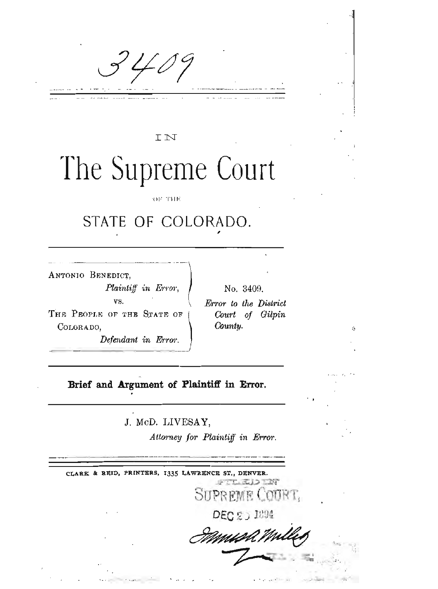$40$ 

IN

# The Supreme Court

OF THE

## STATE OF COLORADO.

ANTONIO BENEDICT,

Plaintiff in Error, VS.

THE PEOPLE OF THE STATE OF COLORADO,

Defendant in Error.

No. 3409. Error to the District Court of Gilpin County.

ż

#### Brief and Argument of Plaintiff in Error.

J. McD. LIVESAY,

Attorney for Plaintiff in Error.

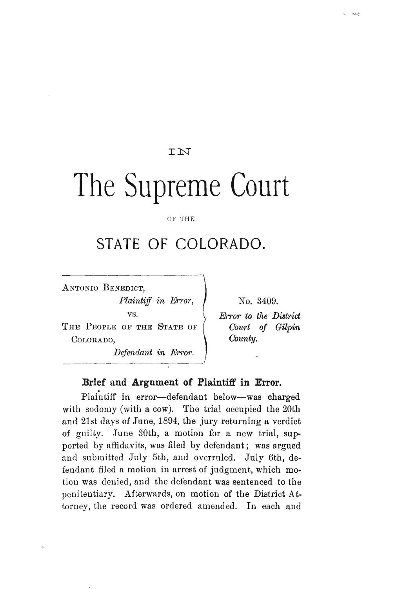#### IN

## The Supreme Court

OF THE

### **STATE OF COLORADO.**

ANTONIO BENEDICT, *Plaintiff in Error*, vs. THE PEOPLE OF THE STATE OF

COLORADO.

 $\alpha$ 

*Defendant in Error.* \_\_\_\_\_\_\_\_\_\_\_\_\_\_\_\_\_1

No. 3409.

*Error to the District Court of Gilpin County.*

#### **Brief and Argument of Plaintiff in Error.**

Plaintiff in error-defendant below-was charged with sodomy (with a cow). The trial occupied the 20th and 21st days of June, 1894, the jury returning a verdict of guilty. June 30th, a motion for a new trial, supported by affidavits, was filed by defendant; was argued and submitted July 5th, and overruled. July 6th, defendant filed a motion in arrest of judgment, which motion was denied, and the defendant was sentenced to the penitentiary. Afterwards, on motion of the District Attorney, the record was ordered amended. In each and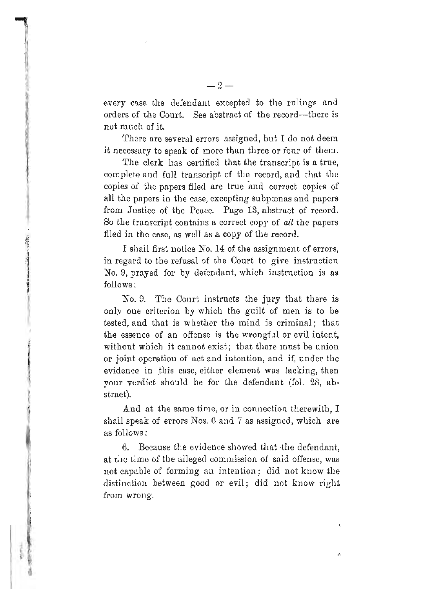every case the defendant excepted to the rulings and orders of the Court. See abstract of the record-there is not much of it.

There are several errors assigned, but I do not deem it necessary to speak of more than three or four of them.

The clerk has certified that the transcript is a true, complete and full transcript of the record, and that the copies of the papers filed are true and correct copies of all the papers in the case, excepting subpoenas and papers from Justice of the Peace. Page 13, abstract of record. So the transcript contains a correct copy of *all* the papers filed in the case, as well as a copy of the record.

I shall first notice No. 14 of the assignment of errors, in regard to the refusal of the Court to give instruction No.9, prayed for by defendant, which instruction is as follows:

No. 9. The Court instructs the jury that there is only one criterion by which the guilt of men is to be tested, and that is whether the mind is criminal; that the essence of an offense is the wrongful or evil intent, without which it cannot exist; that there must be union or joint operation of act and intention, and if, under the evidence in this case, either element was lacking, then your verdict should be for the defendant (fo1. 28, abstract).

And at the same time, or in connection therewith, I shall speak of errors Nos. 6 and 7 as assigned, which are as follows:

6. Because the evidence showed that the defendant, at the time of the alleged commission of said offense, was not capable of forming an intention; did not know the distinction between good or evil; did not know right from wrong.

n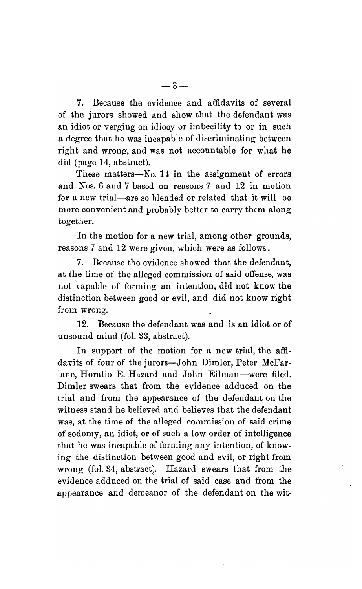7. Because the evidence and affidavits of several of the jurors showed and show that the defendant was an idiot or verging on idiocy or imbecility to or in such a degree that he was incapable of discriminating between right and wrong, and was not accountable for what he did (page  $14$ , abstract).

These matters- $\mathbb{N}_0$ . 14 in the assignment of errors and Nos. 6 and 7 based on reasons 7 and 12 in motion for a new trial-are so blended or related that it will be more convenient and probably better to carry them along together.

In the motion for a new trial, among other grounds, reasons 7 and 12 were given, which were as follows:

7. Because the evidence showed that the defendant, at the time of the alleged commission of said offense, was not 'capable of forming an intention, did not know the distinction between good or evil, and did not know right from wrong.

12. Because the defendant was and is an idiot or of unsound mind (fol. 33, abstract).

In support of the motion for a new trial, the affidavits of four of the jurors-John Dimler, Peter McFarlane, Horatio E. Hazard and John Eilman-were filed. Dimler swears that from the evidence adduced on the trial and from the appearance of the defendant on the witness stand he believed and believes that the defendant was, at the time of the alleged commission of said crime of sodomy, au idiot, or of such a low order of intelligence that he was incapable of forming any intention, of knowing the distinction between good and evil, or right from wrong (fol. 34, abstract). Hazard swears that from the evidence adduced on the trial of said case and from the appearance and demeanor of the defendant on the wit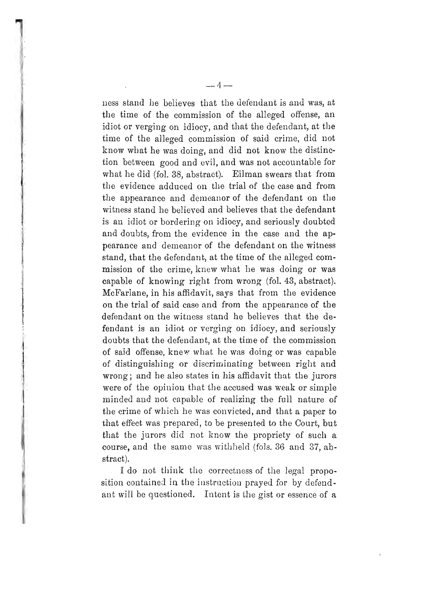ness stand he believes that the defendant is and was, at the time of the commission of the alleged offense, an idiot or verging on idiocy, and that the defendant, at the time of the alleged commission of said crime, did not know what he was doing, and did not know the distinction between good and evil, and was not accountable for what he did (fol. 38, abstract). Eilman swears that from the evidence adduced on the trial of the case and from the appearance and demeanor of the defendant on the witness stand he believed and believes that the defendant is an idiot or bordering on idiocy, and seriously doubted and doubts, from the evidence in the case and the appearance and demeanor of the defendant on the witness stand, that the defendant, at the time of the alleged commission of the crime, knew what he was doing or was capable of knowing right from wrong (fol. 43, abstract). McFarlane, in his affidavit, says that from the evidence on the trial of said case and from the appearance of the defendant on the witness stand he believes that the defendant is an idiot or verging on idiocy, and seriously doubts that the defendant, at the time of the commission of said offense, knew what he was doing or was capable of distinguishing or discriminating between right and wrong; and he also states in his affidavit that the jurors were of the opinion that the accused was weak or simple minded and not capable of realizing the full nature of the crime of which he was convicted, and that a paper to that effect was prepared, to be presented to the Court, but that the jurors did not know the propriety of such a course, and the same was withheld (fols. 36 and 37, abstract).

I do not think the correctness of the legal proposition contained in the instruction prayed for by defendant will be questioned. Intent is the gist or essence of a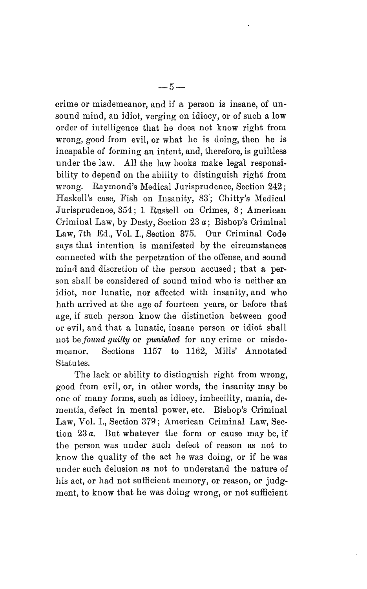crime or misdemeanor, and if a person is insane, of un· sound mind, an idiot, verging on idiocy, or of such a low 6rder of intelligence that he does not know right from wrong, good from evil, or what he is doing, then he is incapable of forming an intent, and, therefore, is guiltless under the law. All the law hooks make legal responsibility to depend on the ability to distinguish right from wrong. Raymond's Medical Jurisprudence, Section 242; Haskell's case, Fish on Insanity, 83; Chitty's Medical Jurisprudence, 354; 1 Russell on Crimes, 8; American Criminal Law, by Desty, Section 23 a; Bishop's Criminal Law, 7th Ed., Vol. 1., Section 375. Our Criminal Code says that intention is manifested by the circumstances connected with the perpetration of the offense, and sound mind and discretion of the person accused; that a person shall be considered of sound mind who is neither an idiot, nor lunatic, nor affected with insanity, and who hath arrived at the age of fourteen years, or before that age, if such person know the distinction between good or evil, and that a lunatic, insane person or idiot shall not be *found quilty* or *punished* for any crime or misdemeanor. Sections 1157 to 1162. Mills' Annotated Statutes.

The lack or ability to distinguish right from wrong, good from evil, or, in other words, the insanity may be one of many forms, such as idiocy, imbecility, mania, dementia, defect in mental power, etc. Bishop's Criminal Law, Vol. I., Section 379; American Criminal Law, Section 23 *a.* But whatever the form or cause may be, if the person was under such defect of reason as not to know the quality of the act he was doing, or if he was under such delusion as not to understand the nature of his act, or had not sufficient memory, or reason, or judgment, to know that he was doing wrong, or not sufficient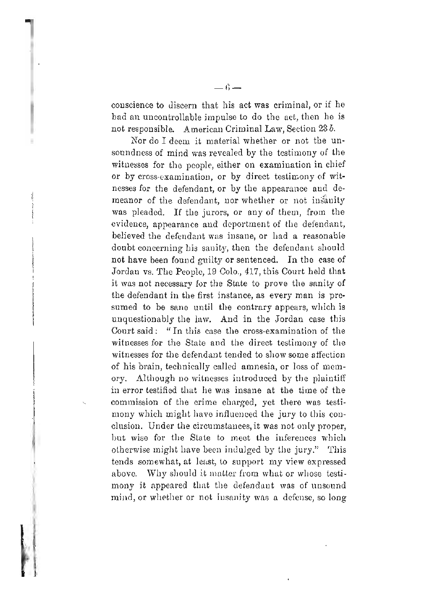conscience to discern that his act was criminal, or if he had an uncontrollable impulse to do the act, then he is not responsible. American Criminal Law, Section 23 b.

Nor do I deem it material whether or not the unsoundness of mind was revealed by the testimony of the witnesses for the people, either on examination in chief or by cross-examination, or by direct testimony of witnesses for the defendant, or by the appearance and demeanor of the defendant, nor whether or not insanity was pleaded. If the jurors, or any of them, from the evidence, appearance and deportment of the defendant, believed the defendant was insane, or had a reasonable doubt concerning his sanity, then the defendant should not have been found guilty or sentenced. In the case of Jordan vs. The People, 19 Colo., 417, this Court held that it was not necessary for the State to prove the sanity of the defendant in the first instance, as every man is presumed to be sane until the contrary appears, which is unquestionably the law. And in the Jordan case this Court said: "In this case the cross-examination of the witnesses for the State and the direct testimony of the witnesses for the defendant tended to show some affection of his brain, technically called amnesia, or loss of memory. Although no witnesses introduced by the plaintiff in error testified that he was insane at the time of the commission of the crime charged, yet there was testimony which might have influenced the jury to this conclusion. Under the circumstances, it was not only proper, but wise for the State to meet the inferences which otherwise might have been indulged by the jury." This tends somewhat, at least, to support my view expressed above. Why should it matter from what or whose testimony it appeared that the defendant was of unsound mind, or whether or not insanity was a defense, so long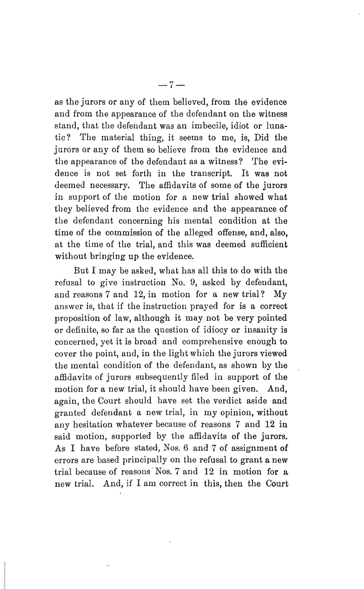as the jurors or any of them believed, from the evidence and from the appearance of the defendant on the witness stand, that the defendant was an imbecile, idiot or lunatic? The material thing, it seems to me, is, Did the jurors or any of them so believe from the evidence and the appearance of the defendant as a witness? The evidence is not set forth in the transcript. It was not deemed necessary. The affidavits of some of the jurors in support of the motion for a new trial showed what they believed from thc evidence and the appearance of the defendant concerning his mental condition at the time of the commission of the alleged offense, and, also, at the time of the trial, and this was deemed sufficient without bringing up the evidence.

But I may be asked, what has all this to do with the refusal to give instruction No.9, asked by defendant, and reasons 7 and 12, in motion for a new trial? My answer is, that if the instruction prayed for is a correct proposition of law, although it may not be very pointed or definite, so far as the question of idiocy or insanity is concerned, yet it is broad and comprehensive enough to, cover the point, and, in the light which the jurors viewed the mental condition of the defendant, as shown by the affidavits of jurors subsequently filed in support of the motion for a new trial, it should have been given. And, again, the Court should have set the verdict aside and granted defendant a new trial, in my opinion, without any hesitation whatever because of reasons 7 and 12 in said motion, supported by the affidavits of the jurors. As I have before stated, Nos. 6 and 7 of assignment of errors are based principally on the refusal to grant a new trial because of reasons Nos.  $7$  and  $12$  in motion for a new trial. And, if I am correct in this, then the Court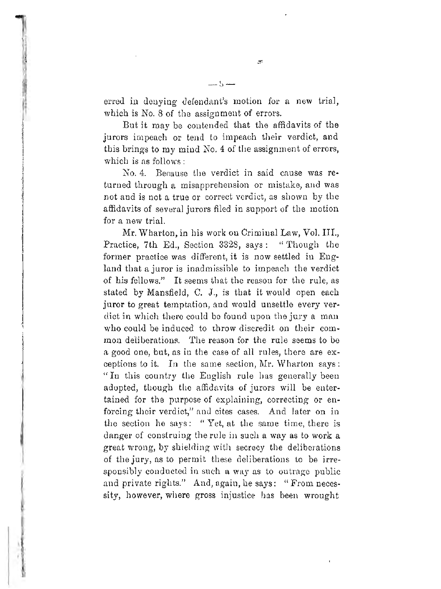erred in denying defendant's motion for a new trial, which is No. 8 of the assignment of errors.

سدی سد

But it may be contended that the affidavits of the jurors impeach or tend to impeach their verdict, and this brings to my mind No.4 of the assignment of errors, which is as follows:

No. 4. Because the verdict in said cause was returned through a misapprehension or mistake, and was not and is not a true or correct verdict, as shown by the affidavits of several jurors filed in support of the motion for a new trial.

Mr. Wharton, in his work on Criminal Law, Vol. III., Practice, 7th Ed., Section 3328, says: "Though the former practice was different, it is now settled in England that a juror is inadmissible to impeach the verdict of his fellows." It seems that the reason for the rule, as stated by Mansfield, C. J., is that it would open each juror to great temptation, and would unsettle every verdict in which there could be found upon the jury a man who could be induced to throw discredit on their common deliberations. The reason for the rule seems to be a good one, but, as in the case of all rules, there are exceptions to it. In the same section,  $Mr.$  Wharton says: "In this conntry the English rule has generally been adopted, though the affidavits of jurors will be entertained for the purpose of explaining, correcting or enforcing their verdict," and cites cases. And later on in the section he says: "Yet, at the same time, there is danger of construing the rule in such a way as to work a great wrong, by shielding with secrecy the deliberations of the jury, as to permit these deliberations to be irresponsibly conducted in such a way as to outrage public and private rights." And, again, he says: "From necessity, however, where gross injustice has been wrought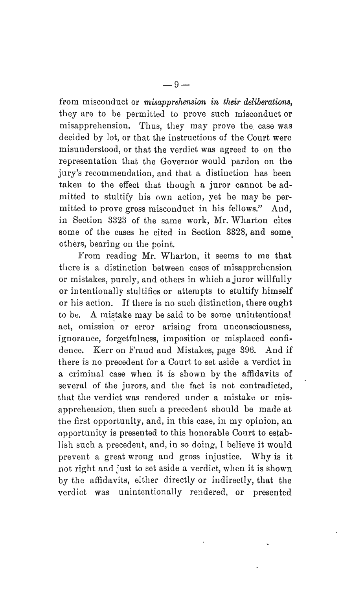from miscond uct or *misapprehension in their deliberations,* they are to be permitted to prove such misconduct or misapprehension. Thus, they may prove the case was decided by lot, or that the instructions of the Court were misunderstood, or that the verdict was agreed to on the representation that the Governor would pardon on the jury's recommendation, and that a distinction has been taken to the effect that though a juror cannot be admitted to stultify his own action, yet he may be permitted to prove gross misconduct in his fellows." And, in Section 3323 of the same work, Mr. Wharton cites some of the cases he cited in Section 3328, and some others, bearing on the point.

From reading Mr. Wharton, it seems to me that there is a distinction between cases of misapprehension or mistakes, purely, and others in which ajuror willfully or intentionally stultifies or attempts to stultify himself or his action. If there is no such distinction, there ought to be. A mistake may be said to be some unintentional act, omission or error arising from unconsciousness, ignorance, forgetfulness, imposition or misplaced confidence. Kerr on Fraud and Mistakes, page 396. And if there is no precedent for a Court. to set aside a verdict in a criminal case when it is shown by the affidavits of several of the jurors, and the fact is not contradicted, that the verdict was rendered under a mistake or misapprehension, then such a precedent should be made at the first opportunity, and, in this case, in my opinion, an opportunity is presented to this honorable Court to establish such a precedent, and, in so doing, I believe it would prevent a great wrong and gross injustice. Why is it not right and just to set aside a verdict, when it is shown by the affidavits, either directly or indirectly, that the verdict was unintentionally rendered, or presented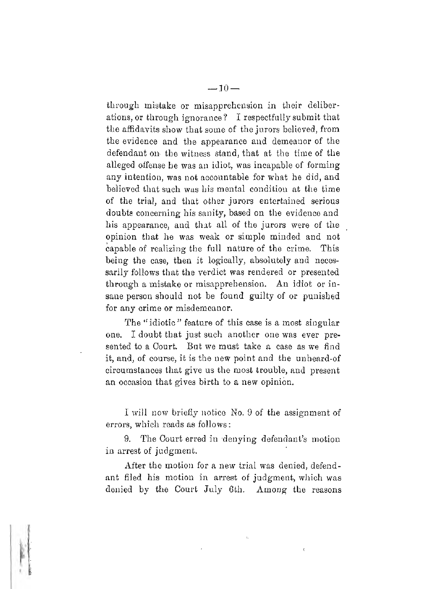through mistake or misapprehension in their deliberations, or through ignorance? I respectfully submit that the affidavits show that some of the jurors believed, from the evidence. and the appearance and demeanor of the defendant on the witness stand, that at the time of the alleged offense he was an idiot, was incapable of forming any intention, was not accountable for what he did, and believed that such was his mental condition at the time of the trial, and that other jurors entertained serious doubts concerning his sanity, based on the evidence and his appearance, and that all of the jurors were of the opinion that he was weak or simple minded and not capable of realizing the full nature of the crime. This being the case, then it logically, absolutely and necessarily follows that the verdict was rendered or presented through a mistake or misapprehension. An idiot or insane person should not be found guilty of or punished for any crime or misdemeanor.

The "idiotic" feature of this case is a most singular one. I doubt that just such another one was ever presented to a Court. But we must take a case as we find it, and, of course, it is the new point and the unheard-of circumstances that give us the most trouble, and present an occasion that gives birth to a new opinion.

I will now briefly notice No. 9 of the assignment of errors, which reads as follows:

9. The Court erred in denying defendant's motion in arrest of judgment.

After the motion for a new trial was denied, defendant filed his motion in arrest of judgment, which was denied by the Court July 6th. Among the reasons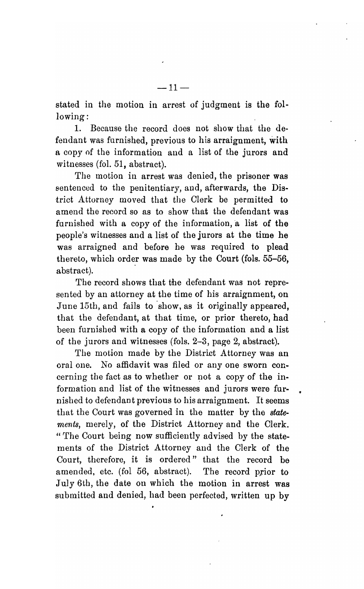stated in the motion in arrest of judgment is the following:

1. Because the record does not show that the defendant was furnished, previous to his arraignment, with a copy of the information and a list of the jurors and witnesses (fo1. 51, abstract).

The motion in arrest was denied, the prisoner was sentenced to the penitentiary, and, afterwards, the District Attorney moved that the Clerk be permitted to amend the record so as to show that the defendant was furnished with a copy of the information, a list of the people's witnesses and a list of the jurors at the time he was arraigned and before he was required to plead thereto, which order was made by the Court (fols.  $55-56$ , abstract).

The record shows that the defendant was not represented by an attorney at the time of his arraignment, on June 15th, and fails to show, as it originally appeared, that the defendant, at that time, or prior thereto, had been furnished with a copy of the information and a list of the jurors and witnesses (fols.  $2-3$ , page 2, abstract).

The motion made by the District Attorney was an oral one. No affidavit was filed or anyone sworn concerning the fact as to whether or not a copy of the information and list of the witnesses and jurors were furnished to defendant previous to his arraignment. It seems that the Court was governed in the matter by the *statements,* merely, of the District Attorney and the Clerk. " The Court being now sufficiently advised by the statements of the District Attorney and the Clerk of the Court, therefore, it is ordered" that the record be amended, etc. (fol 56, abstract). The record prior to July 6th, the date on which the motion in arrest was submitted and denied, had been perfected, written up by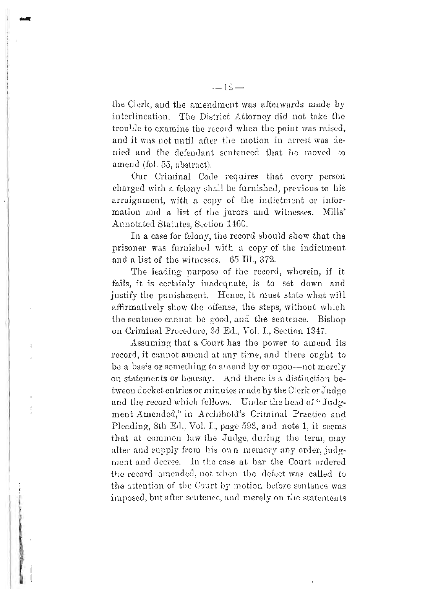the Clerk, and the amendment was afterwards made by interlineation. The District Attorney did not take the trouble to examine the record when the point was raised, and it was not until after the motion in arrest was denied and the defendant sentenced that he moved to amend (fol. 55, abstract).

Our Criminal Code requires that every person charged with a felony shall be furnished, previous to his arraignment, with a copy of the indictment or information and a list of the jurors and witnesses. Mills' Annotated Statutes, Section 1460.

In a case for felony, the record should show that the prisoner was furnished with a copy of the indictment and a list of the witnesses. 65 Ill., 372.

The leading purpose of the record, wherein, if it fails, it is certainly inadequate, is to set down and justify the punishment. Hence, it must state what will affirmatively show the offense, the steps, without which the sentence cannot be good, and the sentence. Bishop on Criminal Procedure, 3d Ed., Vol. I., Section 1347.

Assuming that a Court has the power to amend its record, it cannot amend at any time, and there ought to be a basis or something to amend by or upon—not merely on statements or hearsay. And there is a distinction between docket entries or minutes made by the Clerk or Judge and the record which follows. Under the head of "Judgment Amended," in Archibold's Criminal Practice and Pleading, 8th Ed., Vol. I., page 593, and note 1, it seems that at common law the Judge, during the term, may alter and supply from his own memory any order, judgment and decree. In the case at bar the Court ordered the record amended, not when the defect was called to the attention of the Court by motion before sentence was imposed, but after sentence, and merely on the statements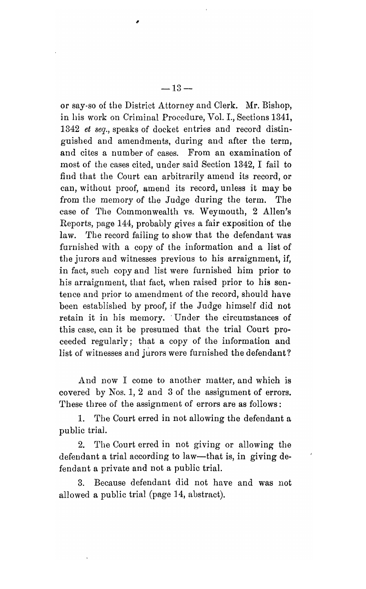or say-so of the District Attorney and Clerk. Mr. Bishop, in his work on Criminal Procedure, Vol. 1., Sections 1341, *1342 et seq.,* speaks of docket entries and record distinguished and amendments, during and after the term, and cites a number of cases. From an examination of most of the cases cited, under said Section 1342, I fail to find that the Court can arbitrarily amend its record, or can, without proof, amend its record, unless it may be from the memory of the Judge during the term. The case of The Commonwealth vs. Weymouth, 2 Allen's Reports, page 144, probably gives a fair exposition of the law. The record failing to show that the defendant was furnished with a copy of the information and a list of the jurors and witnesses previous to his arraignment, if, in fact, such copy and list were furnished him prior to his arraignment, that fact, when raised prior to his sentence and prior to amendment of the record, should have been established by proof, if the Judge himself did not retain it in his memory. 'Under the circumstances of this case, can it be presumed that the trial Court proceeded regularly; that a copy of the information and list of witnesses and jurors were furnished the defendant?

And now I come to another matter, and which is covered by Nos. 1, 2 and 3 of the assignment of errors. These three of the assignment of errors are as follows:

1. The Court erred in not allowing the defendant a public trial.

2. The Court erred in not giving or allowing the defendant a trial according to law—that is, in giving defendant a private and not a public trial.

3. Because defendant did not have and was not allowed a public trial (page 14, abstract).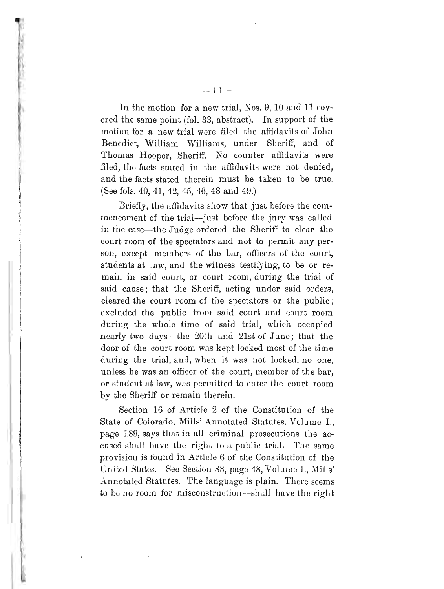In the motion for a new trial, Nos. 9,10 and 11 covered the same point (fol. 33, abstract). In support of the motion for a new trial were filed the affidavits of John Benedict, William Williams, under Sheriff, and of Thomas Hooper, Sheriff. No counter affidavits were filed, the facts stated in the affidavits were not denied, and the facts stated therein must be taken to be true. (See fols. 40, 41, 42, 45, 46, 48 and 49.)

Briefly, the affidavits show that just before the commencement of the trial-just before the jury was called in the case-the Judge ordered the Sheriff to clear the court room of the spectators and not to permit any person, except members of the bar, officers of the court, students at Jaw, and the witness testifying, to be or remain in said court, or court room, during the trial of said cause; that the Sheriff, acting under said orders, cleared the court room of the spectators or the public; excluded the public from said court and court room during the whole time of said trial, which occupied nearly two days-the 20th and 21st of June; that the door of the court room was kept locked most of the time during the trial, and, when it was not locked, no one, unless he was an officer of the court, member of the bar, or student at law, was permitted to enter the court room by the Sheriff or remain therein.

Section 16 of Article 2 of the Constitution of the State of Colorado, Mills' Annotated Statutes, Volume I., page 189, says that in all criminal prosecutions the accused shall have the right to a public trial. The same provision is found in Article 6 of the Constitution of the United States. See Section 88, page 48, Volume I., Mills' Annotated Statutes. The language is plain. There seems to be no room for misconstruction-shall have the right

 $- 1.1 -$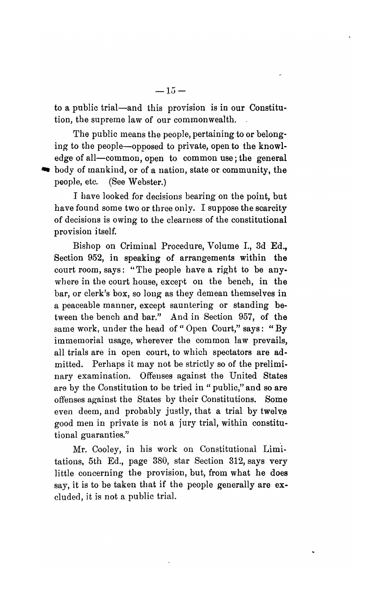to a public trial-and this provision is in our Constitution, the supreme law of our commonwealth.

The public means the people, pertaining to or belonging to the people-opposed to private, open to the knowledge of all-common, open to common use; the general • body of mankind, or of a nation, state or community, the people, etc. (See Webster.)

I have looked for decisions bearing on the point, but have found some two or three only. I suppose the scarcity of decisions is owing to the clearness of the constitutional provision itself.

Bishop on Criminal Procedure, Volume 1., 3d Ed., Section 952, in speaking of arrangements within the court room, says: "The people have a right to be anywhere in the court house, except on the bench, in the bar, or clerk's box, so long as they demean themselves in a peaceable manner, except sauntering or standing between the bench and bar." And in Section 957, of the same work, under the head of "Open Court," says: "By immemorial usage, wherever the common law prevails, all trials are in open court, to which spectators are admitted. Perhaps it may not be strictly so of the preliminary examination. Offenses against the United States are by the Constitution to be tried in " public," and so are offenses against the States by their Constitutions. Some even deem, and probably justly, that a trial by twelve good men in private is not a jury trial, within constitutional guaranties."

Mr. Cooley, in his work on Constitutional Limitations, 5th Ed., page 380, star Section 312, says very little concerning the provision, but, from what he does say, it is to be taken that if the people generally are excluded, it is not a public trial.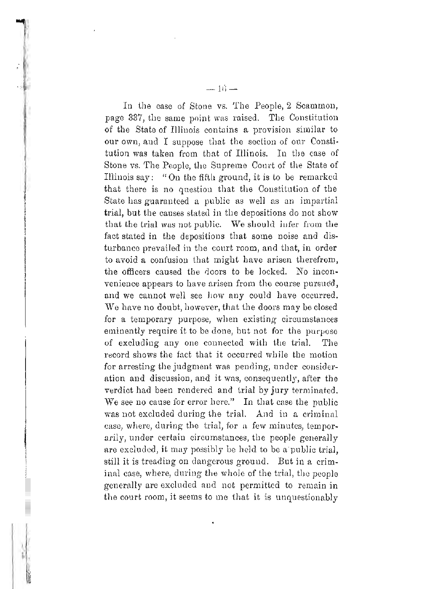In the case of Stone vs. The People, 2 Scammon, page 337, the same point was raised. The Constitution of the State of Illinois contains a provision similar to our own, and I suppose that the section of our Constitution was taken from that of Illinois. In tIle case of Stone vs. The People, the Supreme Court of the State of Illinois say: "On the fifth ground, it is to be remarked that there is no question that the Constitution of the State has guaranteed a public as well as an impartial trial, but the causes stated in the depositions do not show that the trial was not public. We should infer from the fact stated in the depositions that some noise and disturbance prevailed in the court room, and that, in order to avoid a confusion that might have arisen therefrom, the officers caused the doors to be locked. No inconvenience appears to have arisen from the course pursued, and we cannot well see bow any could have occurred. We have no doubt, however, that the doors may be closed for a temporary purpose, when existing circumstances eminently require it to be done, but not for the purpose of excluding anyone connected with the trial. The record shows the fact that it occurred while the motion for arresting the judgment was pending, under consideration and discussion, and it was, consequently, after the verdict had been rendered and trial by jury terminated. We see no cause for error here." In that case the public was not excluded during the trial. And in a criminal ease, where, during the trial, for a few minutes, temporarily, under certain circumstances, the people generally are excluded, it may possibly be held to be a'public trial, still it is treading on dangerous ground. But in a criminal case, where, during the whole of the trial, the people generally are excluded and not permitted to remain in the court room, it seems to me that it is unquestionably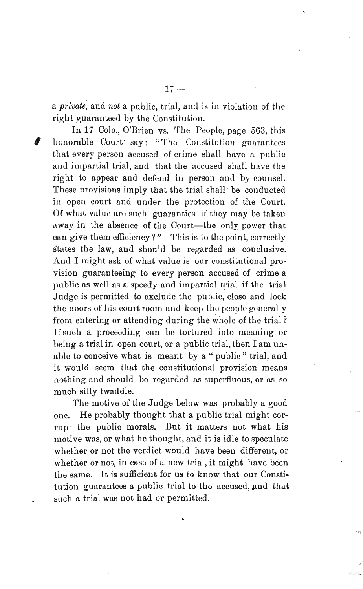a *private;* and *not* a public, trial, and is in violation of the right guaranteed by the Constitution.

In 17 Colo., O'Brien vs. The People, page 563, this , honorable Court' say: "The Constitution guarantees that every person accused of crime shall have a public and impartial trial, and that the accused shall have the right to appear and defend in person and by counsel. These provisions imply that the trial shall be conducted in open court and under the protection of the Court. Of what value are such guaranties if they may be taken away in the absence of the Court-the only power that can give them efficiency?" This is to the point, correctly states the law, and should be regarded as conclusive. And I might ask of what value is our constitutional provision guaranteeing to every person accused of crime a public as well as a speedy and impartial trial if the trial Judge is permitted to exclude the public, close and lock the doors of his court room and keep the people generally from entering or attending during the whole of the trial? Ifsuch a proceeding can be tortured into meaning or being a trial in open court, or a public trial, then I am unable to conceive what is meant by a " public" trial, and it would seem that the constitutional provision means nothing and should be regarded as superfluous, or as so much silly twaddle.

The motive of the Judge below was probably a good one. He probably-thought that a public trial might corrupt the public morals. But it matters not what his motive was, or what he thought, and it is idle to speculate whether or not the verdict would have been different, or whether or not, in case of a new trial, it might have been the same. It is sufficient for us to know that our Constitution guarantees a public trial to the accused, and that such a trial was not had or permitted.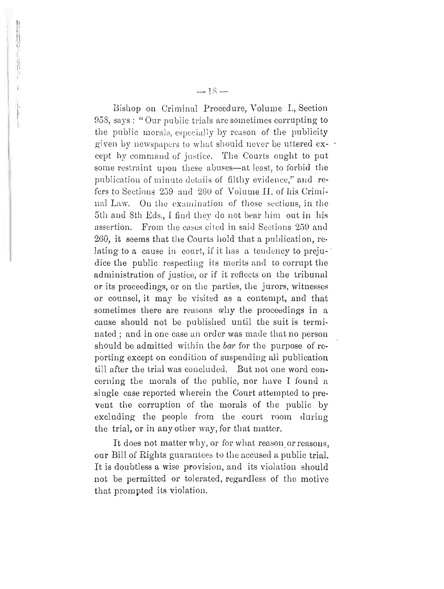Bishop on Criminal Procedure, Volume I., Section 958, says: "Our public trials are sometimes corrupting to the public morals, especially by reason of the publicity given by newspapers to what should never be uttered except by command of justice. The Courts ought to put some restraint upon these abuses—at least, to forbid the publication of minute details of filthy evidence," and refers to Sections 259 and 260 of Volume II, of his Criminal Law. On the examination of those sections, in the 5th and 8th Eds., I find they do not bear him out in his assertion. From the cases cited in said Sections 259 and 260, it seems that the Courts hold that a publication, relating to a cause in court, if it has a tendency to prejudice the public respecting its merits and to corrupt the administration of justice, or if it reflects on the tribunal or its proceedings, or on the parties, the jurors, witnesses or counsel, it may be visited as a contempt, and that sometimes there are reasons why the proceedings in a cause should not be published until the suit is terminated; and in one case an order was made that no person should be admitted within the bar for the purpose of reporting except on condition of suspending all publication till after the trial was concluded. But not one word concerning the morals of the public, nor have I found a single case reported wherein the Court attempted to prevent the corruption of the morals of the public by excluding the people from the court room during the trial, or in any other way, for that matter.

It does not matter why, or for what reason or reasons, our Bill of Rights guarantees to the accused a public trial. It is doubtless a wise provision, and its violation should not be permitted or tolerated, regardless of the motive that prompted its violation.

 $-1S-$ 

把好好打掉 经政府指令 计二十二进制